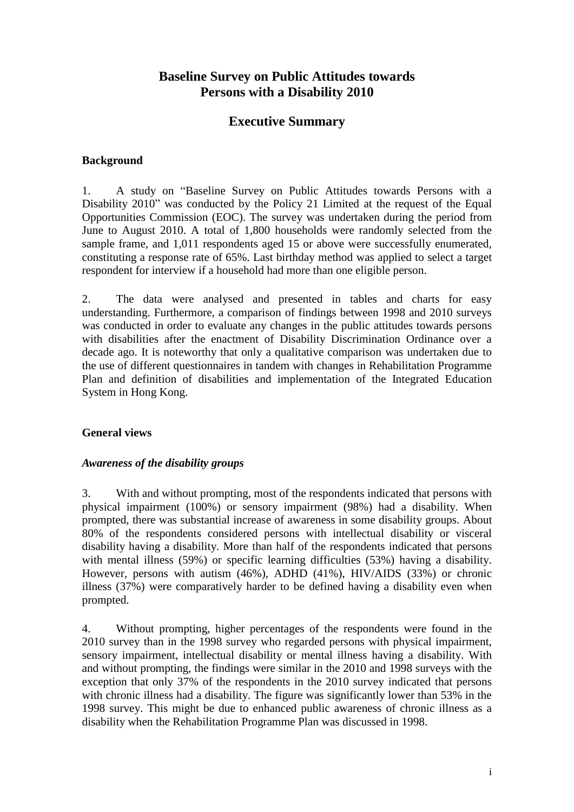# **Baseline Survey on Public Attitudes towards Persons with a Disability 2010**

# **Executive Summary**

#### **Background**

1. A study on "Baseline Survey on Public Attitudes towards Persons with a Disability 2010" was conducted by the Policy 21 Limited at the request of the Equal Opportunities Commission (EOC). The survey was undertaken during the period from June to August 2010. A total of 1,800 households were randomly selected from the sample frame, and 1,011 respondents aged 15 or above were successfully enumerated, constituting a response rate of 65%. Last birthday method was applied to select a target respondent for interview if a household had more than one eligible person.

2. The data were analysed and presented in tables and charts for easy understanding. Furthermore, a comparison of findings between 1998 and 2010 surveys was conducted in order to evaluate any changes in the public attitudes towards persons with disabilities after the enactment of Disability Discrimination Ordinance over a decade ago. It is noteworthy that only a qualitative comparison was undertaken due to the use of different questionnaires in tandem with changes in Rehabilitation Programme Plan and definition of disabilities and implementation of the Integrated Education System in Hong Kong.

### **General views**

#### *Awareness of the disability groups*

3. With and without prompting, most of the respondents indicated that persons with physical impairment (100%) or sensory impairment (98%) had a disability. When prompted, there was substantial increase of awareness in some disability groups. About 80% of the respondents considered persons with intellectual disability or visceral disability having a disability. More than half of the respondents indicated that persons with mental illness (59%) or specific learning difficulties (53%) having a disability. However, persons with autism (46%), ADHD (41%), HIV/AIDS (33%) or chronic illness (37%) were comparatively harder to be defined having a disability even when prompted.

4. Without prompting, higher percentages of the respondents were found in the 2010 survey than in the 1998 survey who regarded persons with physical impairment, sensory impairment, intellectual disability or mental illness having a disability. With and without prompting, the findings were similar in the 2010 and 1998 surveys with the exception that only 37% of the respondents in the 2010 survey indicated that persons with chronic illness had a disability. The figure was significantly lower than 53% in the 1998 survey. This might be due to enhanced public awareness of chronic illness as a disability when the Rehabilitation Programme Plan was discussed in 1998.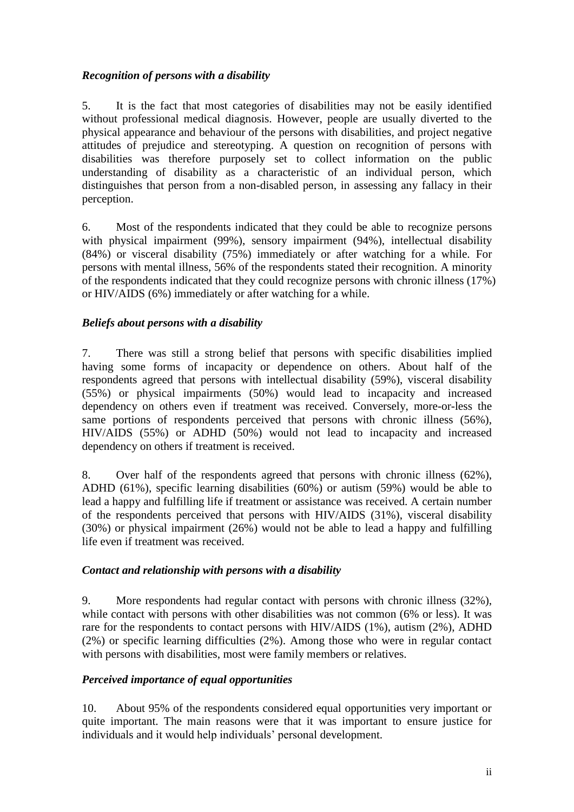### *Recognition of persons with a disability*

5. It is the fact that most categories of disabilities may not be easily identified without professional medical diagnosis. However, people are usually diverted to the physical appearance and behaviour of the persons with disabilities, and project negative attitudes of prejudice and stereotyping. A question on recognition of persons with disabilities was therefore purposely set to collect information on the public understanding of disability as a characteristic of an individual person, which distinguishes that person from a non-disabled person, in assessing any fallacy in their perception.

6. Most of the respondents indicated that they could be able to recognize persons with physical impairment (99%), sensory impairment (94%), intellectual disability (84%) or visceral disability (75%) immediately or after watching for a while. For persons with mental illness, 56% of the respondents stated their recognition. A minority of the respondents indicated that they could recognize persons with chronic illness (17%) or HIV/AIDS (6%) immediately or after watching for a while.

### *Beliefs about persons with a disability*

7. There was still a strong belief that persons with specific disabilities implied having some forms of incapacity or dependence on others. About half of the respondents agreed that persons with intellectual disability (59%), visceral disability (55%) or physical impairments (50%) would lead to incapacity and increased dependency on others even if treatment was received. Conversely, more-or-less the same portions of respondents perceived that persons with chronic illness (56%), HIV/AIDS (55%) or ADHD (50%) would not lead to incapacity and increased dependency on others if treatment is received.

8. Over half of the respondents agreed that persons with chronic illness (62%), ADHD (61%), specific learning disabilities (60%) or autism (59%) would be able to lead a happy and fulfilling life if treatment or assistance was received. A certain number of the respondents perceived that persons with HIV/AIDS (31%), visceral disability (30%) or physical impairment (26%) would not be able to lead a happy and fulfilling life even if treatment was received.

### *Contact and relationship with persons with a disability*

9. More respondents had regular contact with persons with chronic illness (32%), while contact with persons with other disabilities was not common (6% or less). It was rare for the respondents to contact persons with HIV/AIDS (1%), autism (2%), ADHD (2%) or specific learning difficulties (2%). Among those who were in regular contact with persons with disabilities, most were family members or relatives.

### *Perceived importance of equal opportunities*

10. About 95% of the respondents considered equal opportunities very important or quite important. The main reasons were that it was important to ensure justice for individuals and it would help individuals' personal development.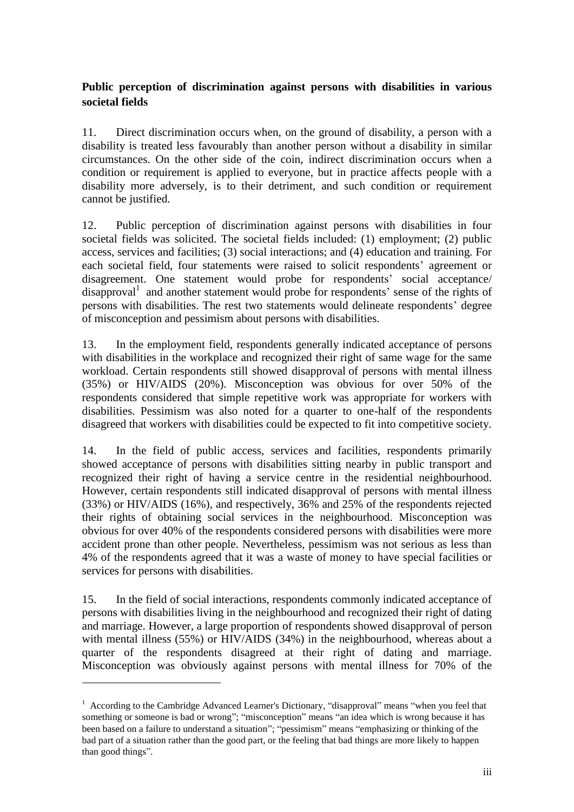# **Public perception of discrimination against persons with disabilities in various societal fields**

11. Direct discrimination occurs when, on the ground of disability, a person with a disability is treated less favourably than another person without a disability in similar circumstances. On the other side of the coin, indirect discrimination occurs when a condition or requirement is applied to everyone, but in practice affects people with a disability more adversely, is to their detriment, and such condition or requirement cannot be justified.

12. Public perception of discrimination against persons with disabilities in four societal fields was solicited. The societal fields included: (1) employment; (2) public access, services and facilities; (3) social interactions; and (4) education and training. For each societal field, four statements were raised to solicit respondents' agreement or disagreement. One statement would probe for respondents' social acceptance/ disapproval<sup>1</sup> and another statement would probe for respondents' sense of the rights of persons with disabilities. The rest two statements would delineate respondents' degree of misconception and pessimism about persons with disabilities.

13. In the employment field, respondents generally indicated acceptance of persons with disabilities in the workplace and recognized their right of same wage for the same workload. Certain respondents still showed disapproval of persons with mental illness (35%) or HIV/AIDS (20%). Misconception was obvious for over 50% of the respondents considered that simple repetitive work was appropriate for workers with disabilities. Pessimism was also noted for a quarter to one-half of the respondents disagreed that workers with disabilities could be expected to fit into competitive society.

14. In the field of public access, services and facilities, respondents primarily showed acceptance of persons with disabilities sitting nearby in public transport and recognized their right of having a service centre in the residential neighbourhood. However, certain respondents still indicated disapproval of persons with mental illness (33%) or HIV/AIDS (16%), and respectively, 36% and 25% of the respondents rejected their rights of obtaining social services in the neighbourhood. Misconception was obvious for over 40% of the respondents considered persons with disabilities were more accident prone than other people. Nevertheless, pessimism was not serious as less than 4% of the respondents agreed that it was a waste of money to have special facilities or services for persons with disabilities.

15. In the field of social interactions, respondents commonly indicated acceptance of persons with disabilities living in the neighbourhood and recognized their right of dating and marriage. However, a large proportion of respondents showed disapproval of person with mental illness (55%) or HIV/AIDS (34%) in the neighbourhood, whereas about a quarter of the respondents disagreed at their right of dating and marriage. Misconception was obviously against persons with mental illness for 70% of the

1

<sup>&</sup>lt;sup>1</sup> According to the Cambridge Advanced Learner's Dictionary, "disapproval" means "when you feel that something or someone is bad or wrong"; "misconception" means "an idea which is wrong because it has been based on a failure to understand a situation"; "pessimism" means "emphasizing or thinking of the bad part of a situation rather than the good part, or the feeling that bad things are more likely to happen than good things".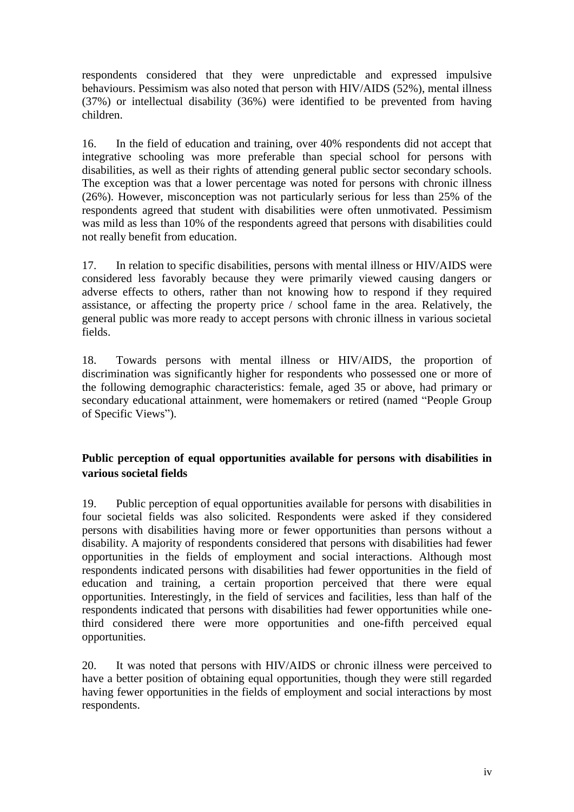respondents considered that they were unpredictable and expressed impulsive behaviours. Pessimism was also noted that person with HIV/AIDS (52%), mental illness (37%) or intellectual disability (36%) were identified to be prevented from having children.

16. In the field of education and training, over 40% respondents did not accept that integrative schooling was more preferable than special school for persons with disabilities, as well as their rights of attending general public sector secondary schools. The exception was that a lower percentage was noted for persons with chronic illness (26%). However, misconception was not particularly serious for less than 25% of the respondents agreed that student with disabilities were often unmotivated. Pessimism was mild as less than 10% of the respondents agreed that persons with disabilities could not really benefit from education.

17. In relation to specific disabilities, persons with mental illness or HIV/AIDS were considered less favorably because they were primarily viewed causing dangers or adverse effects to others, rather than not knowing how to respond if they required assistance, or affecting the property price / school fame in the area. Relatively, the general public was more ready to accept persons with chronic illness in various societal fields.

18. Towards persons with mental illness or HIV/AIDS, the proportion of discrimination was significantly higher for respondents who possessed one or more of the following demographic characteristics: female, aged 35 or above, had primary or secondary educational attainment, were homemakers or retired (named "People Group of Specific Views").

## **Public perception of equal opportunities available for persons with disabilities in various societal fields**

19. Public perception of equal opportunities available for persons with disabilities in four societal fields was also solicited. Respondents were asked if they considered persons with disabilities having more or fewer opportunities than persons without a disability. A majority of respondents considered that persons with disabilities had fewer opportunities in the fields of employment and social interactions. Although most respondents indicated persons with disabilities had fewer opportunities in the field of education and training, a certain proportion perceived that there were equal opportunities. Interestingly, in the field of services and facilities, less than half of the respondents indicated that persons with disabilities had fewer opportunities while onethird considered there were more opportunities and one-fifth perceived equal opportunities.

20. It was noted that persons with HIV/AIDS or chronic illness were perceived to have a better position of obtaining equal opportunities, though they were still regarded having fewer opportunities in the fields of employment and social interactions by most respondents.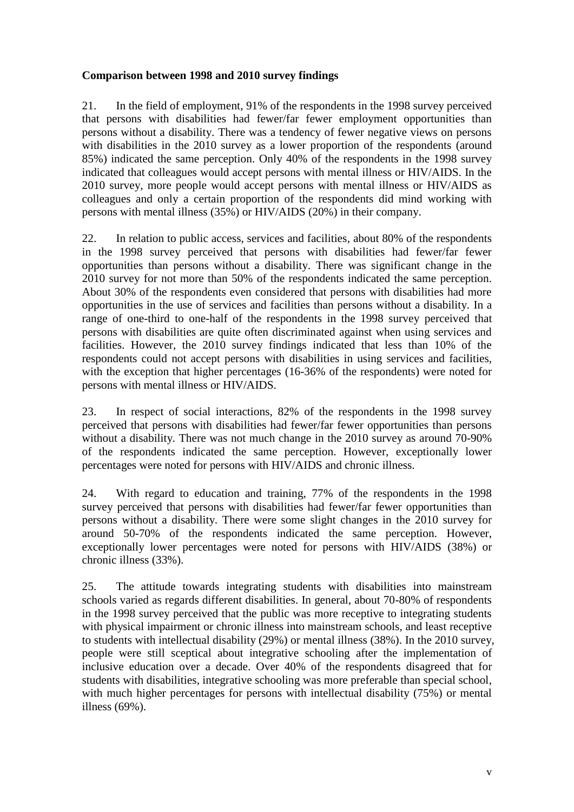### **Comparison between 1998 and 2010 survey findings**

21. In the field of employment, 91% of the respondents in the 1998 survey perceived that persons with disabilities had fewer/far fewer employment opportunities than persons without a disability. There was a tendency of fewer negative views on persons with disabilities in the 2010 survey as a lower proportion of the respondents (around 85%) indicated the same perception. Only 40% of the respondents in the 1998 survey indicated that colleagues would accept persons with mental illness or HIV/AIDS. In the 2010 survey, more people would accept persons with mental illness or HIV/AIDS as colleagues and only a certain proportion of the respondents did mind working with persons with mental illness (35%) or HIV/AIDS (20%) in their company.

22. In relation to public access, services and facilities, about 80% of the respondents in the 1998 survey perceived that persons with disabilities had fewer/far fewer opportunities than persons without a disability. There was significant change in the 2010 survey for not more than 50% of the respondents indicated the same perception. About 30% of the respondents even considered that persons with disabilities had more opportunities in the use of services and facilities than persons without a disability. In a range of one-third to one-half of the respondents in the 1998 survey perceived that persons with disabilities are quite often discriminated against when using services and facilities. However, the 2010 survey findings indicated that less than 10% of the respondents could not accept persons with disabilities in using services and facilities, with the exception that higher percentages (16-36% of the respondents) were noted for persons with mental illness or HIV/AIDS.

23. In respect of social interactions, 82% of the respondents in the 1998 survey perceived that persons with disabilities had fewer/far fewer opportunities than persons without a disability. There was not much change in the 2010 survey as around 70-90% of the respondents indicated the same perception. However, exceptionally lower percentages were noted for persons with HIV/AIDS and chronic illness.

24. With regard to education and training, 77% of the respondents in the 1998 survey perceived that persons with disabilities had fewer/far fewer opportunities than persons without a disability. There were some slight changes in the 2010 survey for around 50-70% of the respondents indicated the same perception. However, exceptionally lower percentages were noted for persons with HIV/AIDS (38%) or chronic illness (33%).

25. The attitude towards integrating students with disabilities into mainstream schools varied as regards different disabilities. In general, about 70-80% of respondents in the 1998 survey perceived that the public was more receptive to integrating students with physical impairment or chronic illness into mainstream schools, and least receptive to students with intellectual disability (29%) or mental illness (38%). In the 2010 survey, people were still sceptical about integrative schooling after the implementation of inclusive education over a decade. Over 40% of the respondents disagreed that for students with disabilities, integrative schooling was more preferable than special school, with much higher percentages for persons with intellectual disability (75%) or mental illness (69%).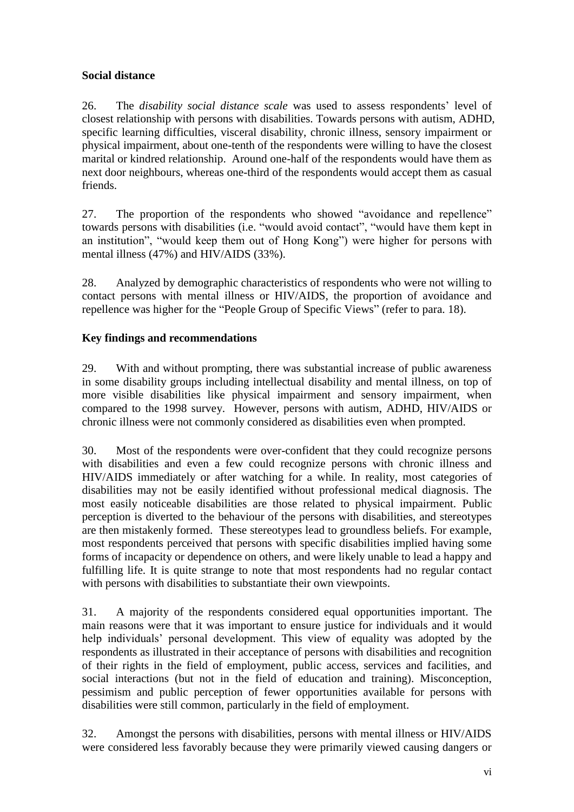## **Social distance**

26. The *disability social distance scale* was used to assess respondents' level of closest relationship with persons with disabilities. Towards persons with autism, ADHD, specific learning difficulties, visceral disability, chronic illness, sensory impairment or physical impairment, about one-tenth of the respondents were willing to have the closest marital or kindred relationship. Around one-half of the respondents would have them as next door neighbours, whereas one-third of the respondents would accept them as casual friends.

27. The proportion of the respondents who showed "avoidance and repellence" towards persons with disabilities (i.e. "would avoid contact", "would have them kept in an institution", "would keep them out of Hong Kong") were higher for persons with mental illness (47%) and HIV/AIDS (33%).

28. Analyzed by demographic characteristics of respondents who were not willing to contact persons with mental illness or HIV/AIDS, the proportion of avoidance and repellence was higher for the "People Group of Specific Views" (refer to para. 18).

### **Key findings and recommendations**

29. With and without prompting, there was substantial increase of public awareness in some disability groups including intellectual disability and mental illness, on top of more visible disabilities like physical impairment and sensory impairment, when compared to the 1998 survey. However, persons with autism, ADHD, HIV/AIDS or chronic illness were not commonly considered as disabilities even when prompted.

30. Most of the respondents were over-confident that they could recognize persons with disabilities and even a few could recognize persons with chronic illness and HIV/AIDS immediately or after watching for a while. In reality, most categories of disabilities may not be easily identified without professional medical diagnosis. The most easily noticeable disabilities are those related to physical impairment. Public perception is diverted to the behaviour of the persons with disabilities, and stereotypes are then mistakenly formed. These stereotypes lead to groundless beliefs. For example, most respondents perceived that persons with specific disabilities implied having some forms of incapacity or dependence on others, and were likely unable to lead a happy and fulfilling life. It is quite strange to note that most respondents had no regular contact with persons with disabilities to substantiate their own viewpoints.

31. A majority of the respondents considered equal opportunities important. The main reasons were that it was important to ensure justice for individuals and it would help individuals' personal development. This view of equality was adopted by the respondents as illustrated in their acceptance of persons with disabilities and recognition of their rights in the field of employment, public access, services and facilities, and social interactions (but not in the field of education and training). Misconception, pessimism and public perception of fewer opportunities available for persons with disabilities were still common, particularly in the field of employment.

32. Amongst the persons with disabilities, persons with mental illness or HIV/AIDS were considered less favorably because they were primarily viewed causing dangers or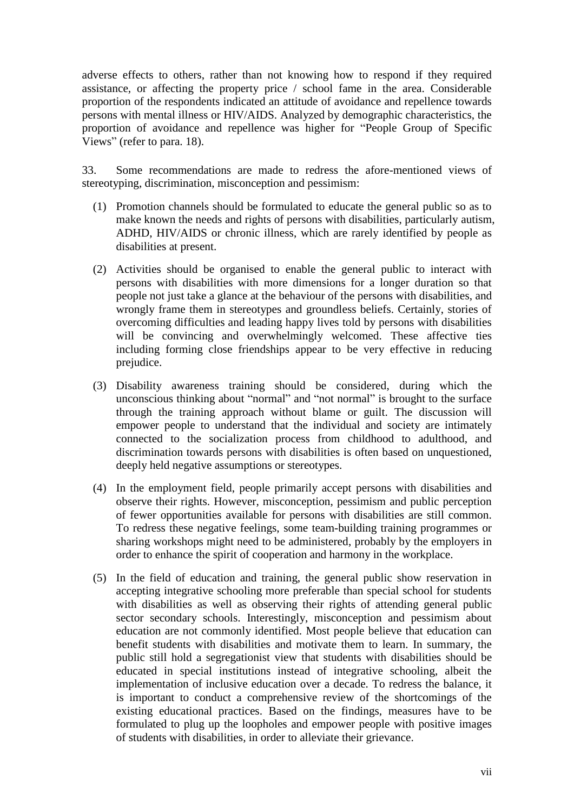adverse effects to others, rather than not knowing how to respond if they required assistance, or affecting the property price / school fame in the area. Considerable proportion of the respondents indicated an attitude of avoidance and repellence towards persons with mental illness or HIV/AIDS. Analyzed by demographic characteristics, the proportion of avoidance and repellence was higher for "People Group of Specific Views" (refer to para. 18).

33. Some recommendations are made to redress the afore-mentioned views of stereotyping, discrimination, misconception and pessimism:

- (1) Promotion channels should be formulated to educate the general public so as to make known the needs and rights of persons with disabilities, particularly autism, ADHD, HIV/AIDS or chronic illness, which are rarely identified by people as disabilities at present.
- (2) Activities should be organised to enable the general public to interact with persons with disabilities with more dimensions for a longer duration so that people not just take a glance at the behaviour of the persons with disabilities, and wrongly frame them in stereotypes and groundless beliefs. Certainly, stories of overcoming difficulties and leading happy lives told by persons with disabilities will be convincing and overwhelmingly welcomed. These affective ties including forming close friendships appear to be very effective in reducing prejudice.
- (3) Disability awareness training should be considered, during which the unconscious thinking about "normal" and "not normal" is brought to the surface through the training approach without blame or guilt. The discussion will empower people to understand that the individual and society are intimately connected to the socialization process from childhood to adulthood, and discrimination towards persons with disabilities is often based on unquestioned, deeply held negative assumptions or stereotypes.
- (4) In the employment field, people primarily accept persons with disabilities and observe their rights. However, misconception, pessimism and public perception of fewer opportunities available for persons with disabilities are still common. To redress these negative feelings, some team-building training programmes or sharing workshops might need to be administered, probably by the employers in order to enhance the spirit of cooperation and harmony in the workplace.
- (5) In the field of education and training, the general public show reservation in accepting integrative schooling more preferable than special school for students with disabilities as well as observing their rights of attending general public sector secondary schools. Interestingly, misconception and pessimism about education are not commonly identified. Most people believe that education can benefit students with disabilities and motivate them to learn. In summary, the public still hold a segregationist view that students with disabilities should be educated in special institutions instead of integrative schooling, albeit the implementation of inclusive education over a decade. To redress the balance, it is important to conduct a comprehensive review of the shortcomings of the existing educational practices. Based on the findings, measures have to be formulated to plug up the loopholes and empower people with positive images of students with disabilities, in order to alleviate their grievance.